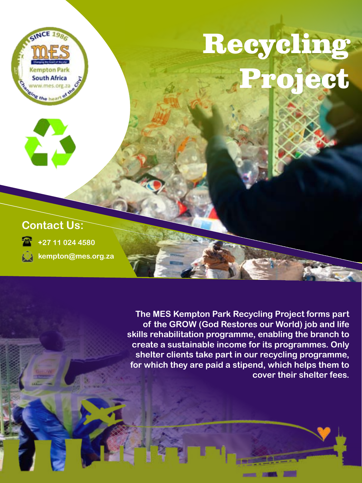

**The MES Kempton Park Recycling Project forms part of the GROW (God Restores our World) job and life skills rehabilitation programme, enabling the branch to create a sustainable income for its programmes. Only shelter clients take part in our recycling programme, for which they are paid a stipend, which helps them to cover their shelter fees.**